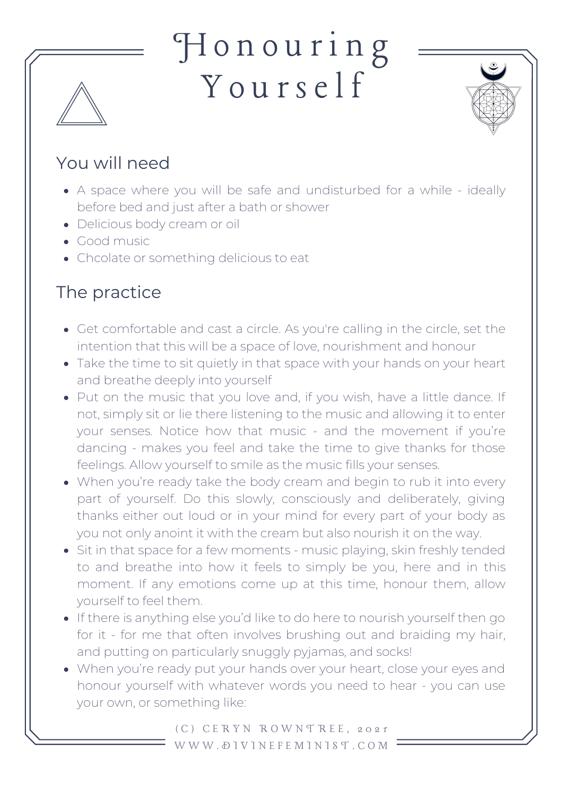## H o n o u r i n g Y o u r sel f



## You will need

- A space where you will be safe and undisturbed for a while ideally before bed and just after a bath or shower
- Delicious body cream or oil
- Good music
- Chcolate or something delicious to eat

## The practice

- Get comfortable and cast a circle. As you're calling in the circle, set the intention that this will be a space of love, nourishment and honour
- Take the time to sit quietly in that space with your hands on your heart and breathe deeply into yourself
- Put on the music that you love and, if you wish, have a little dance. If not, simply sit or lie there listening to the music and allowing it to enter your senses. Notice how that music - and the movement if you're dancing - makes you feel and take the time to give thanks for those feelings. Allow yourself to smile as the music fills your senses.
- When you're ready take the body cream and begin to rub it into every part of yourself. Do this slowly, consciously and deliberately, giving thanks either out loud or in your mind for every part of your body as you not only anoint it with the cream but also nourish it on the way.
- Sit in that space for a few moments music playing, skin freshly tended to and breathe into how it feels to simply be you, here and in this moment. If any emotions come up at this time, honour them, allow yourself to feel them.
- If there is anything else you'd like to do here to nourish yourself then go for it - for me that often involves brushing out and braiding my hair, and putting on particularly snuggly pyjamas, and socks!
- When you're ready put your hands over your heart, close your eyes and honour yourself with whatever words you need to hear - you can use your own, or something like:

( C ) C E R Y N R O W N T R E E , 2 0 2 1 W W W . D I V I N E F E M I N I S T . C O M